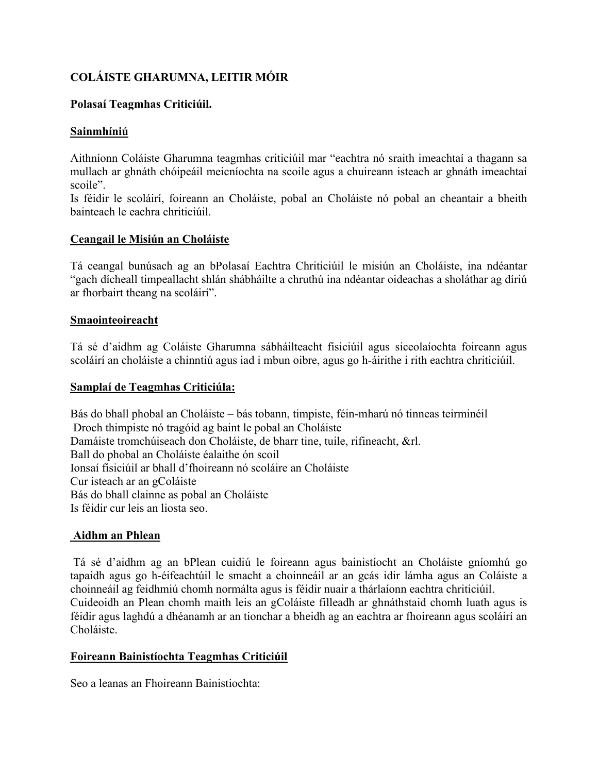# **COLÁISTE GHARUMNA, LEITIR MÓIR**

### **Polasaí Teagmhas Criticiúil.**

# **Sainmhíniú**

Aithníonn Coláiste Gharumna teagmhas criticiúil mar "eachtra nó sraith imeachtaí a thagann sa mullach ar ghnáth chóipeáil meicníochta na scoile agus a chuireann isteach ar ghnáth imeachtaí scoile".

Is féidir le scoláirí, foireann an Choláiste, pobal an Choláiste nó pobal an cheantair a bheith bainteach le eachra chriticiúil.

### **Ceangail le Misiún an Choláiste**

Tá ceangal bunúsach ag an bPolasaí Eachtra Chriticiúil le misiún an Choláiste, ina ndéantar "gach dícheall timpeallacht shlán shábháilte a chruthú ina ndéantar oideachas a sholáthar ag díriú ar fhorbairt theang na scoláirí".

#### **Smaointeoireacht**

Tá sé d'aidhm ag Coláiste Gharumna sábháilteacht fisiciúil agus siceolaíochta foireann agus scoláirí an choláiste a chinntiú agus iad i mbun oibre, agus go h-áirithe i rith eachtra chriticiúil.

#### **Samplaí de Teagmhas Criticiúla:**

Bás do bhall phobal an Choláiste – bás tobann, timpiste, féin-mharú nó tinneas teirminéil Droch thimpiste nó tragóid ag baint le pobal an Choláiste Damáiste tromchúiseach don Choláiste, de bharr tine, tuile, rifineacht, &rl. Ball do phobal an Choláiste éalaithe ón scoil Ionsaí fisiciúil ar bhall d'fhoireann nó scoláire an Choláiste Cur isteach ar an gColáiste Bás do bhall clainne as pobal an Choláiste Is féidir cur leis an liosta seo.

### **Aidhm an Phlean**

 Tá sé d'aidhm ag an bPlean cuidiú le foireann agus bainistíocht an Choláiste gníomhú go tapaidh agus go h-éifeachtúil le smacht a choinneáil ar an gcás idir lámha agus an Coláiste a choinneáil ag feidhmiú chomh normálta agus is féidir nuair a thárlaíonn eachtra chriticiúil.

Cuideoidh an Plean chomh maith leis an gColáiste filleadh ar ghnáthstaid chomh luath agus is féidir agus laghdú a dhéanamh ar an tionchar a bheidh ag an eachtra ar fhoireann agus scoláirí an Choláiste.

### **Foireann Bainistíochta Teagmhas Criticiúil**

Seo a leanas an Fhoireann Bainistiochta: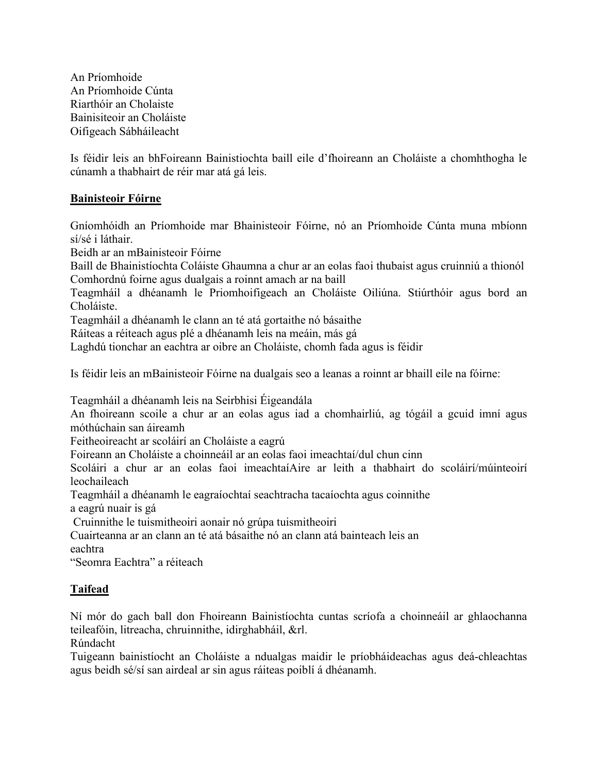An Príomhoide An Príomhoide Cúnta Riarthóir an Cholaiste Bainisiteoir an Choláiste Oifigeach Sábháileacht

Is féidir leis an bhFoireann Bainistiochta baill eile d'fhoireann an Choláiste a chomhthogha le cúnamh a thabhairt de réir mar atá gá leis.

# **Bainisteoir Fóirne**

Gníomhóidh an Príomhoide mar Bhainisteoir Fóirne, nó an Príomhoide Cúnta muna mbíonn sí/sé i láthair.

Beidh ar an mBainisteoir Fóirne

Baill de Bhainistíochta Coláiste Ghaumna a chur ar an eolas faoi thubaist agus cruinniú a thionól Comhordnú foirne agus dualgais a roinnt amach ar na baill

Teagmháil a dhéanamh le Priomhoifigeach an Choláiste Oiliúna. Stiúrthóir agus bord an Choláiste.

Teagmháil a dhéanamh le clann an té atá gortaithe nó básaithe

Ráiteas a réiteach agus plé a dhéanamh leis na meáin, más gá

Laghdú tionchar an eachtra ar oibre an Choláiste, chomh fada agus is féidir

Is féidir leis an mBainisteoir Fóirne na dualgais seo a leanas a roinnt ar bhaill eile na fóirne:

Teagmháil a dhéanamh leis na Seirbhisi Éigeandála

An fhoireann scoile a chur ar an eolas agus iad a chomhairliú, ag tógáil a gcuid imní agus móthúchain san áireamh

Feitheoireacht ar scoláirí an Choláiste a eagrú

Foireann an Choláiste a choinneáil ar an eolas faoi imeachtaí/dul chun cinn

Scoláiri a chur ar an eolas faoi imeachtaíAire ar leith a thabhairt do scoláirí/múinteoirí leochaileach

Teagmháil a dhéanamh le eagraíochtaí seachtracha tacaíochta agus coinnithe

a eagrú nuair is gá

Cruinnithe le tuismitheoiri aonair nó grúpa tuismitheoiri

Cuairteanna ar an clann an té atá básaithe nó an clann atá bainteach leis an eachtra

"Seomra Eachtra" a réiteach

### **Taifead**

Ní mór do gach ball don Fhoireann Bainistíochta cuntas scríofa a choinneáil ar ghlaochanna teileafóin, litreacha, chruinnithe, idirghabháil, &rl.

Rúndacht

Tuigeann bainistíocht an Choláiste a ndualgas maidir le príobháideachas agus deá-chleachtas agus beidh sé/sí san airdeal ar sin agus ráiteas poiblí á dhéanamh.